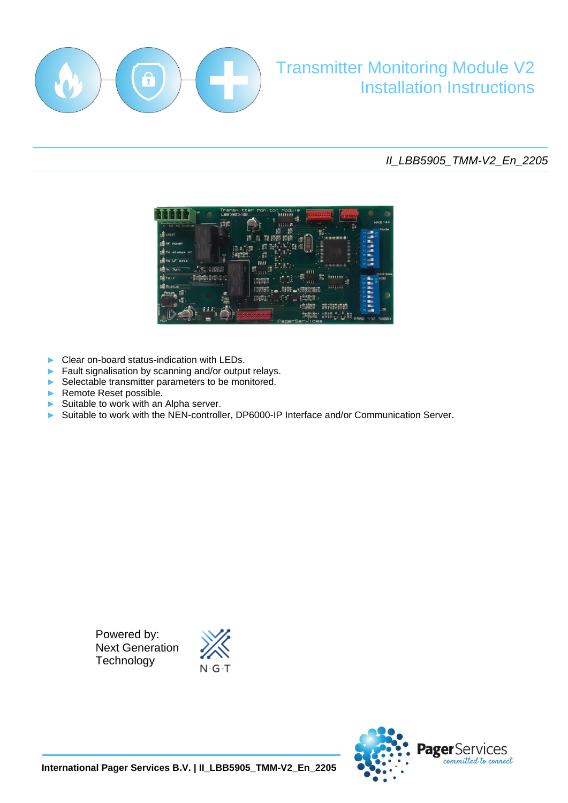

# Transmitter Monitoring Module V2 Installation Instructions

## *II\_LBB5905\_TMM-V2\_En\_2205*



- ► Clear on-board status-indication with LEDs.
- Fault signalisation by scanning and/or output relays.
- Selectable transmitter parameters to be monitored.
- ► Remote Reset possible.

j

- Suitable to work with an Alpha server.
- Suitable to work with the NEN-controller, DP6000-IP Interface and/or Communication Server.

Powered by: Next Generation **Technology** 



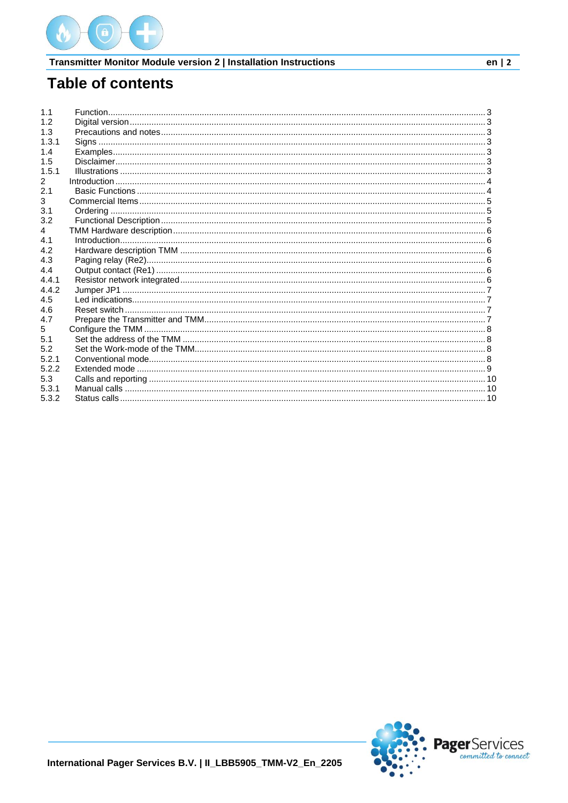

# **Table of contents**

| 1.1   |  |
|-------|--|
| 1.2   |  |
| 1.3   |  |
| 1.3.1 |  |
| 1.4   |  |
| 1.5   |  |
| 1.5.1 |  |
| 2     |  |
| 2.1   |  |
| 3     |  |
| 3.1   |  |
| 3.2   |  |
| 4     |  |
| 4.1   |  |
| 4.2   |  |
| 4.3   |  |
| 4.4   |  |
| 4.4.1 |  |
| 4.4.2 |  |
| 4.5   |  |
| 4.6   |  |
| 4.7   |  |
| 5     |  |
| 5.1   |  |
| 5.2   |  |
| 5.2.1 |  |
| 5.2.2 |  |
| 5.3   |  |
| 5.3.1 |  |
| 5.3.2 |  |

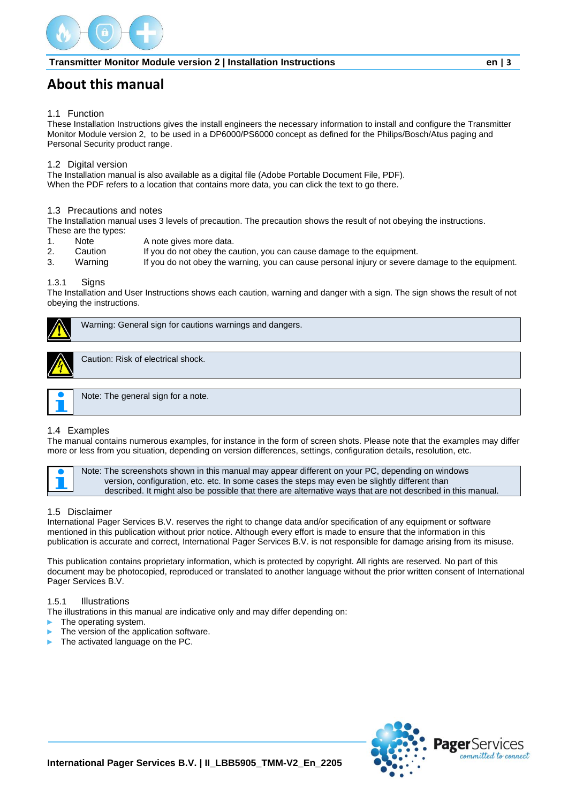

## **About this manual**

#### <span id="page-2-0"></span>1.1 Function

These Installation Instructions gives the install engineers the necessary information to install and configure the Transmitter Monitor Module version 2, to be used in a DP6000/PS6000 concept as defined for the Philips/Bosch/Atus paging and Personal Security product range.

#### <span id="page-2-1"></span>1.2 Digital version

The Installation manual is also available as a digital file (Adobe Portable Document File, PDF). When the PDF refers to a location that contains more data, you can click the text to go there.

#### <span id="page-2-2"></span>1.3 Precautions and notes

The Installation manual uses 3 levels of precaution. The precaution shows the result of not obeying the instructions. These are the types:

- 1. Note A note gives more data.
- 2. Caution If you do not obey the caution, you can cause damage to the equipment.
- 3. Warning If you do not obey the warning, you can cause personal injury or severe damage to the equipment.

#### <span id="page-2-3"></span>1.3.1 Signs

The Installation and User Instructions shows each caution, warning and danger with a sign. The sign shows the result of not obeying the instructions.



Warning: General sign for cautions warnings and dangers.



Caution: Risk of electrical shock.



Note: The general sign for a note.

#### <span id="page-2-4"></span>1.4 Examples

The manual contains numerous examples, for instance in the form of screen shots. Please note that the examples may differ more or less from you situation, depending on version differences, settings, configuration details, resolution, etc.



Note: The screenshots shown in this manual may appear different on your PC, depending on windows version, configuration, etc. etc. In some cases the steps may even be slightly different than described. It might also be possible that there are alternative ways that are not described in this manual.

#### <span id="page-2-5"></span>1.5 Disclaimer

International Pager Services B.V. reserves the right to change data and/or specification of any equipment or software mentioned in this publication without prior notice. Although every effort is made to ensure that the information in this publication is accurate and correct, International Pager Services B.V. is not responsible for damage arising from its misuse.

This publication contains proprietary information, which is protected by copyright. All rights are reserved. No part of this document may be photocopied, reproduced or translated to another language without the prior written consent of International Pager Services B.V.

#### <span id="page-2-6"></span>1.5.1 Illustrations

The illustrations in this manual are indicative only and may differ depending on:

- The operating system.
- The version of the application software.
- The activated language on the PC.

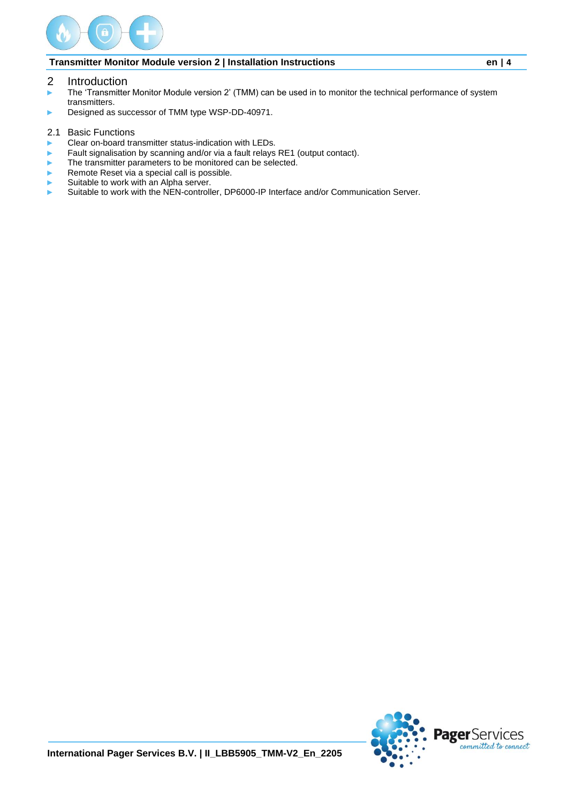

- <span id="page-3-0"></span>2 Introduction
- ► The 'Transmitter Monitor Module version 2' (TMM) can be used in to monitor the technical performance of system transmitters.
- ► Designed as successor of TMM type WSP-DD-40971.
- <span id="page-3-1"></span>2.1 Basic Functions
- ► Clear on-board transmitter status-indication with LEDs.
- Fault signalisation by scanning and/or via a fault relays RE1 (output contact).
- The transmitter parameters to be monitored can be selected.
- Remote Reset via a special call is possible.
- Suitable to work with an Alpha server.
- ► Suitable to work with the NEN-controller, DP6000-IP Interface and/or Communication Server.

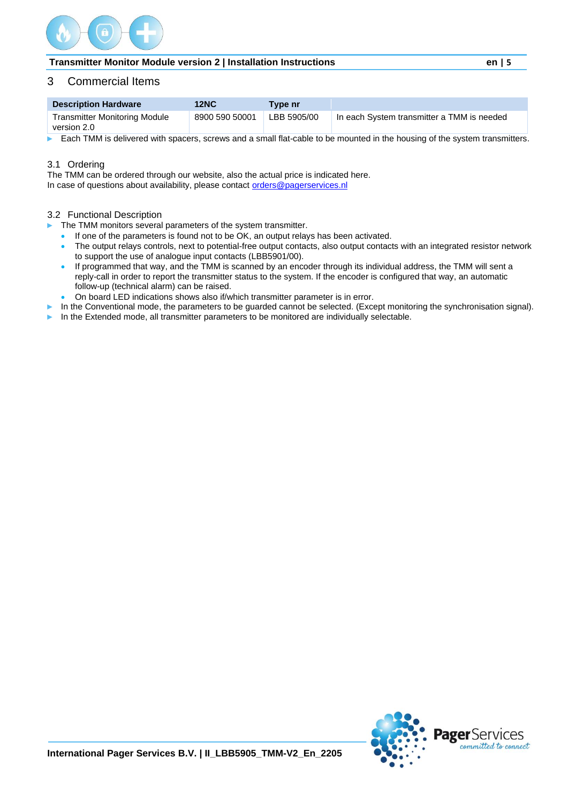

## <span id="page-4-0"></span>3 Commercial Items

| <b>Description Hardware</b>                         | <b>12NC</b>    | Tvpe nr     |                                            |
|-----------------------------------------------------|----------------|-------------|--------------------------------------------|
| <b>Transmitter Monitoring Module</b><br>version 2.0 | 8900 590 50001 | LBB 5905/00 | In each System transmitter a TMM is needed |

Each TMM is delivered with spacers, screws and a small flat-cable to be mounted in the housing of the system transmitters.

#### <span id="page-4-1"></span>3.1 Ordering

The TMM can be ordered through our website, also the actual price is indicated here. In case of questions about availability, please contact [orders@pagerservices.nl](mailto:orders@pagerservices.nl)

#### <span id="page-4-2"></span>3.2 Functional Description

► The TMM monitors several parameters of the system transmitter.

- If one of the parameters is found not to be OK, an output relays has been activated.
- The output relays controls, next to potential-free output contacts, also output contacts with an integrated resistor network to support the use of analogue input contacts (LBB5901/00).
- If programmed that way, and the TMM is scanned by an encoder through its individual address, the TMM will sent a reply-call in order to report the transmitter status to the system. If the encoder is configured that way, an automatic follow-up (technical alarm) can be raised.
- On board LED indications shows also if/which transmitter parameter is in error.
- In the Conventional mode, the parameters to be guarded cannot be selected. (Except monitoring the synchronisation signal).
- In the Extended mode, all transmitter parameters to be monitored are individually selectable.

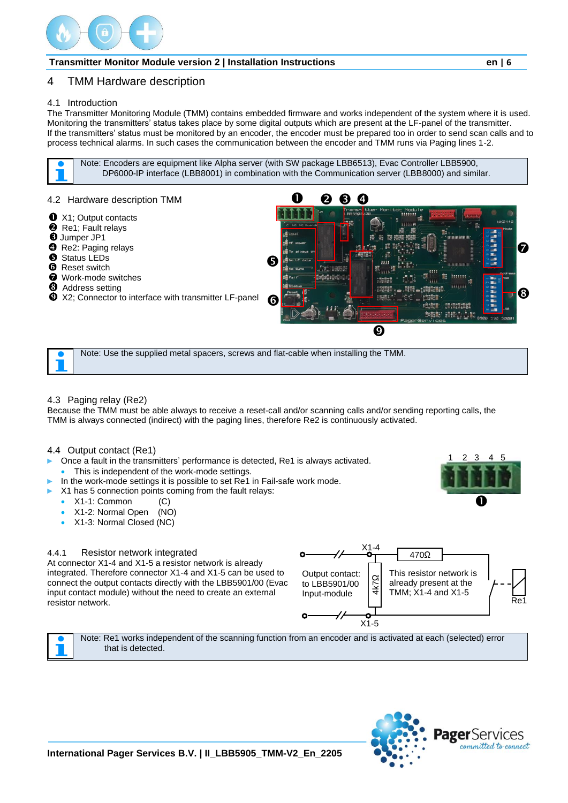

## <span id="page-5-0"></span>4 TMM Hardware description

## <span id="page-5-1"></span>4.1 Introduction

The Transmitter Monitoring Module (TMM) contains embedded firmware and works independent of the system where it is used. Monitoring the transmitters' status takes place by some digital outputs which are present at the LF-panel of the transmitter. If the transmitters' status must be monitored by an encoder, the encoder must be prepared too in order to send scan calls and to process technical alarms. In such cases the communication between the encoder and TMM runs via Paging lines 1-2.

Note: Encoders are equipment like Alpha server (with SW package LBB6513), Evac Controller LBB5900, DP6000-IP interface (LBB8001) in combination with the Communication server (LBB8000) and similar.

<span id="page-5-2"></span>

Note: Use the supplied metal spacers, screws and flat-cable when installing the TMM.

#### <span id="page-5-3"></span>4.3 Paging relay (Re2)

Because the TMM must be able always to receive a reset-call and/or scanning calls and/or sending reporting calls, the TMM is always connected (indirect) with the paging lines, therefore Re2 is continuously activated.

#### <span id="page-5-4"></span>4.4 Output contact (Re1)

- Once a fault in the transmitters' performance is detected, Re1 is always activated.
- This is independent of the work-mode settings.
- In the work-mode settings it is possible to set Re1 in Fail-safe work mode.
- X1 has 5 connection points coming from the fault relays:
	- X1-1: Common (C)
	- X1-2: Normal Open (NO)
	- X1-3: Normal Closed (NC)

#### <span id="page-5-5"></span>4.4.1 Resistor network integrated

At connector X1-4 and X1-5 a resistor network is already integrated. Therefore connector X1-4 and X1-5 can be used to connect the output contacts directly with the LBB5901/00 (Evac input contact module) without the need to create an external resistor network.



Note: Re1 works independent of the scanning function from an encoder and is activated at each (selected) error that is detected.



Λ

1 2 3 4 5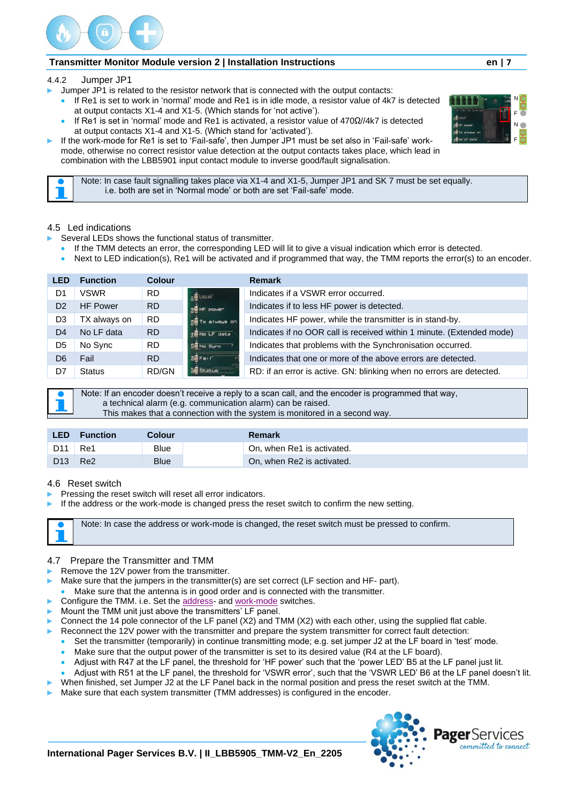

#### <span id="page-6-0"></span>4.4.2 Jumper JP1

- Jumper JP1 is related to the resistor network that is connected with the output contacts:
	- If Re1 is set to work in 'normal' mode and Re1 is in idle mode, a resistor value of 4k7 is detected at output contacts X1-4 and X1-5. (Which stands for 'not active').
	- If Re1 is set in 'normal' mode and Re1 is activated, a resistor value of 470Ω//4k7 is detected at output contacts X1-4 and X1-5. (Which stand for 'activated').
- ► If the work-mode for Re1 is set to 'Fail-safe', then Jumper JP1 must be set also in 'Fail-safe' workmode, otherwise no correct resistor value detection at the output contacts takes place, which lead in combination with the LBB5901 input contact module to inverse good/fault signalisation.

Note: In case fault signalling takes place via X1-4 and X1-5, Jumper JP1 and SK 7 must be set equally. i.e. both are set in 'Normal mode' or both are set 'Fail-safe' mode.

#### <span id="page-6-1"></span>4.5 Led indications

- Several LEDs shows the functional status of transmitter.
- If the TMM detects an error, the corresponding LED will lit to give a visual indication which error is detected.
- Next to LED indication(s), Re1 will be activated and if programmed that way, the TMM reports the error(s) to an encoder.

| <b>LED</b>     | <b>Function</b> | <b>Colour</b> |                 | <b>Remark</b>                                                         |
|----------------|-----------------|---------------|-----------------|-----------------------------------------------------------------------|
| D1             | <b>VSWR</b>     | RD.           | <b>SE</b> USI-P | Indicates if a VSWR error occurred.                                   |
| D <sub>2</sub> | <b>HF Power</b> | RD.           | $30 + 30$       | Indicates if to less HF power is detected.                            |
| D3             | TX always on    | RD.           | SETX always on  | Indicates HF power, while the transmitter is in stand-by.             |
| D4             | No LF data      | <b>RD</b>     | to UF data      | Indicates if no OOR call is received within 1 minute. (Extended mode) |
| D5             | No Sync         | RD.           | Sal No Sunc     | Indicates that problems with the Synchronisation occurred.            |
| D6             | Fail            | RD.           | <b>SE Fait</b>  | Indicates that one or more of the above errors are detected.          |
| D7             | <b>Status</b>   | <b>RD/GN</b>  | <b>Status</b>   | RD: if an error is active. GN: blinking when no errors are detected.  |



Note: If an encoder doesn't receive a reply to a scan call, and the encoder is programmed that way, a technical alarm (e.g. communication alarm) can be raised. This makes that a connection with the system is monitored in a second way.

| <b>LED</b>      | <b>Function</b> | Colour      | Remark                     |
|-----------------|-----------------|-------------|----------------------------|
| D11             | Re1             | Blue        | On, when Re1 is activated. |
| D <sub>13</sub> | Re <sub>2</sub> | <b>Blue</b> | On, when Re2 is activated. |

#### <span id="page-6-2"></span>4.6 Reset switch

- Pressing the reset switch will reset all error indicators.
- If the address or the work-mode is changed press the reset switch to confirm the new setting.

Note: In case the address or work-mode is changed, the reset switch must be pressed to confirm.

#### <span id="page-6-3"></span>4.7 Prepare the Transmitter and TMM

- Remove the 12V power from the transmitter.
- Make sure that the jumpers in the transmitter(s) are set correct (LF section and HF- part).
- Make sure that the antenna is in good order and is connected with the transmitter.
- Configure the TMM. i.e. Set the [address-](#page-7-1) an[d work-mode](#page-7-2) switches.
- Mount the TMM unit just above the transmitters' LF panel.
- Connect the 14 pole connector of the LF panel (X2) and TMM (X2) with each other, using the supplied flat cable.
	- Reconnect the 12V power with the transmitter and prepare the system transmitter for correct fault detection:
	- Set the transmitter (temporarily) in continue transmitting mode; e.g. set jumper J2 at the LF board in 'test' mode.
	- Make sure that the output power of the transmitter is set to its desired value (R4 at the LF board).
	- Adjust with R47 at the LF panel, the threshold for 'HF power' such that the 'power LED' B5 at the LF panel just lit.
	- Adjust with R51 at the LF panel, the threshold for 'VSWR error', such that the 'VSWR LED' B6 at the LF panel doesn't lit.
- When finished, set Jumper J2 at the LF Panel back in the normal position and press the reset switch at the TMM.
- Make sure that each system transmitter (TMM addresses) is configured in the encoder.





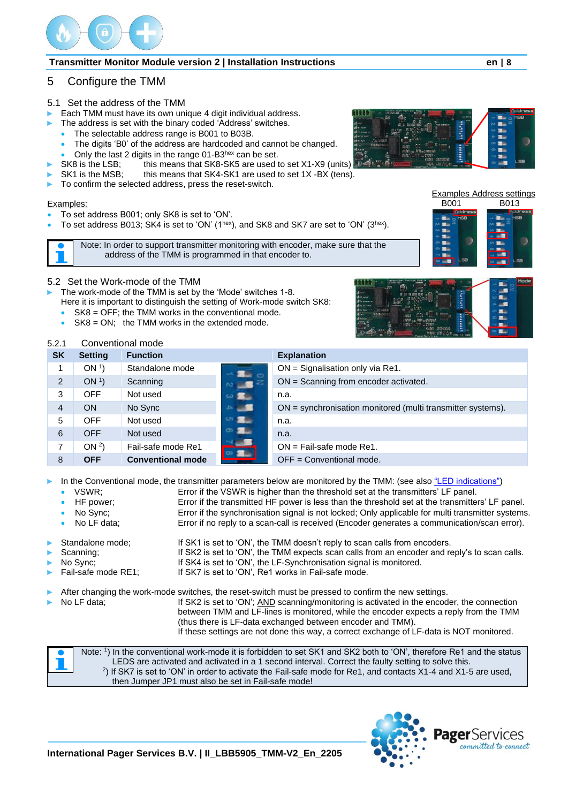

## <span id="page-7-0"></span>5 Configure the TMM

#### <span id="page-7-1"></span>5.1 Set the address of the TMM

- Each TMM must have its own unique 4 digit individual address.
- The address is set with the binary coded 'Address' switches.
	- The selectable address range is B001 to B03B.



- 
- SK8 is the LSB; this means that SK8-SK5 are used to set X1-X9 (units).<br>SK1 is the MSB: this means that SK4-SK1 are used to set 1X-BX (tens this means that SK4-SK1 are used to set 1X -BX (tens).
- To confirm the selected address, press the reset-switch.

#### Examples:

- To set address B001; only SK8 is set to 'ON'.
- To set address B013; SK4 is set to 'ON' (1<sup>hex</sup>), and SK8 and SK7 are set to 'ON' (3<sup>hex</sup>).

Note: In order to support transmitter monitoring with encoder, make sure that the address of the TMM is programmed in that encoder to.

<span id="page-7-2"></span>5.2 Set the Work-mode of the TMM

- The work-mode of the TMM is set by the 'Mode' switches 1-8. Here it is important to distinguish the setting of Work-mode switch SK8:
	- $SK8 = OFF$ ; the TMM works in the conventional mode.
- $SK8 = ON$ ; the TMM works in the extended mode.



#### <span id="page-7-3"></span>5.2.1 Conventional mode

| <b>SK</b>      | <b>Setting</b>  | <b>Function</b>          |       | <b>Explanation</b>                                          |
|----------------|-----------------|--------------------------|-------|-------------------------------------------------------------|
|                | ON <sup>1</sup> | Standalone mode          |       | $ON =$ Signalisation only via Re1.                          |
| $\overline{2}$ | ON <sup>1</sup> | Scanning                 | $-$   | ON = Scanning from encoder activated.                       |
| 3              | OFF             | Not used                 |       | n.a.                                                        |
| 4              | <b>ON</b>       | No Sync                  |       | ON = synchronisation monitored (multi transmitter systems). |
| 5              | OFF             | Not used                 | --    | n.a.                                                        |
| 6              | <b>OFF</b>      | Not used                 | я.    | n.a.                                                        |
| 7              | ON <sup>2</sup> | Fail-safe mode Re1       | $-18$ | $ON = Fail-safe mode Re1.$                                  |
| 8              | <b>OFF</b>      | <b>Conventional mode</b> |       | $OFF = Conventional mode.$                                  |

In the Conventional mode, the transmitter parameters below are monitored by the TMM: (see also ["LED indications"\)](#page-6-1)

- VSWR; Error if the VSWR is higher than the threshold set at the transmitters' LF panel.
- HF power; Error if the transmitted HF power is less than the threshold set at the transmitters' LF panel.

• No Sync; Error if the synchronisation signal is not locked; Only applicable for multi transmitter systems.

No LF data; Error if no reply to a scan-call is received (Encoder generates a communication/scan error).

Standalone mode; If SK1 is set to 'ON', the TMM doesn't reply to scan calls from encoders.

- Scanning; If SK2 is set to 'ON', the TMM expects scan calls from an encoder and reply's to scan calls.
- No Sync; If SK4 is set to 'ON', the LF-Synchronisation signal is monitored.
- Fail-safe mode RE1; If SK7 is set to 'ON', Re1 works in Fail-safe mode.

After changing the work-mode switches, the reset-switch must be pressed to confirm the new settings.

No LF data; If SK2 is set to 'ON'; AND scanning/monitoring is activated in the encoder, the connection between TMM and LF-lines is monitored, while the encoder expects a reply from the TMM (thus there is LF-data exchanged between encoder and TMM). If these settings are not done this way, a correct exchange of LF-data is NOT monitored.









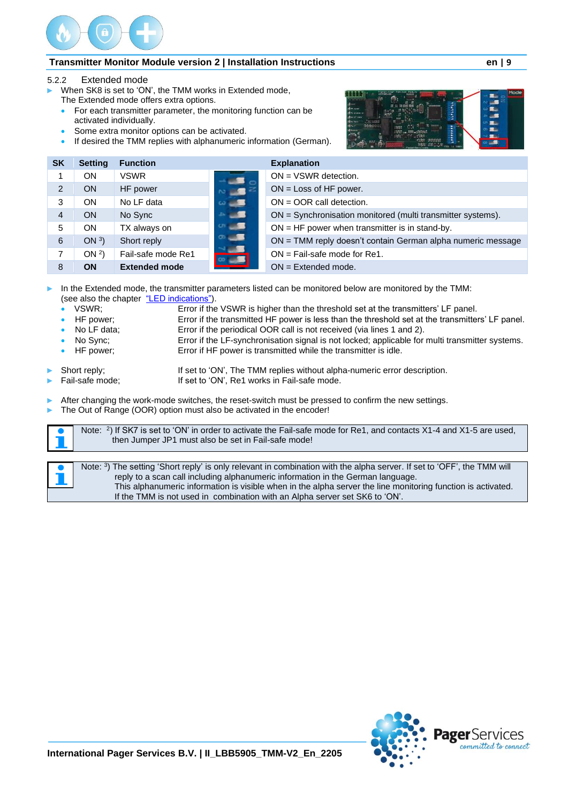

<span id="page-8-0"></span>5.2.2 Extended mode

- When SK8 is set to 'ON', the TMM works in Extended mode, The Extended mode offers extra options.
	- For each transmitter parameter, the monitoring function can be activated individually.
	- Some extra monitor options can be activated.
	- If desired the TMM replies with alphanumeric information (German).



| <b>SK</b>     | <b>Setting</b>  | <b>Function</b>      |             | <b>Explanation</b>                                          |
|---------------|-----------------|----------------------|-------------|-------------------------------------------------------------|
|               | ON              | <b>VSWR</b>          |             | $ON = VSWR$ detection.                                      |
| $\mathcal{P}$ | <b>ON</b>       | HF power             | <b>BEST</b> | $ON = Loss$ of HF power.                                    |
| 3             | <b>ON</b>       | No LF data           |             | $ON = OOR$ call detection.                                  |
| 4             | <b>ON</b>       | No Sync              | a s         | ON = Synchronisation monitored (multi transmitter systems). |
| 5             | <b>ON</b>       | TX always on         | -95         | $ON = HF$ power when transmitter is in stand-by.            |
| 6             | ON $3)$         | Short reply          |             | ON = TMM reply doesn't contain German alpha numeric message |
| 7             | ON <sup>2</sup> | Fail-safe mode Re1   | $-1$        | $ON = Fail-safe mode for Re1.$                              |
| 8             | <b>ON</b>       | <b>Extended mode</b> |             | $ON = Extended mode$ .                                      |

In the Extended mode, the transmitter parameters listed can be monitored below are monitored by the TMM: (see also the chapter ["LED indications"\)](#page-6-1).

- VSWR; Error if the VSWR is higher than the threshold set at the transmitters' LF panel.
	- HF power; Error if the transmitted HF power is less than the threshold set at the transmitters' LF panel.<br>No LF data: Error if the periodical OOR call is not received (via lines 1 and 2).
- 
- Error if the periodical OOR call is not received (via lines 1 and 2).
- No Sync; Error if the LF-synchronisation signal is not locked; applicable for multi transmitter systems. • HF power; Error if HF power is transmitted while the transmitter is idle.
	-
- 

Short reply; If set to 'ON', The TMM replies without alpha-numeric error description.<br>
Fail-safe mode; If set to 'ON', Re1 works in Fail-safe mode. If set to 'ON', Re1 works in Fail-safe mode.

- After changing the work-mode switches, the reset-switch must be pressed to confirm the new settings.
- The Out of Range (OOR) option must also be activated in the encoder!

| Note: <sup>2</sup> ) If SK7 is set to 'ON' in order to activate the Fail-safe mode for Re1, and contacts X1-4 and X1-5 are used,<br>then Jumper JP1 must also be set in Fail-safe mode! |
|-----------------------------------------------------------------------------------------------------------------------------------------------------------------------------------------|
|                                                                                                                                                                                         |

Note: <sup>3</sup> ) The setting 'Short reply' is only relevant in combination with the alpha server. If set to 'OFF', the TMM will reply to a scan call including alphanumeric information in the German language. This alphanumeric information is visible when in the alpha server the line monitoring function is activated. If the TMM is not used in combination with an Alpha server set SK6 to 'ON'.

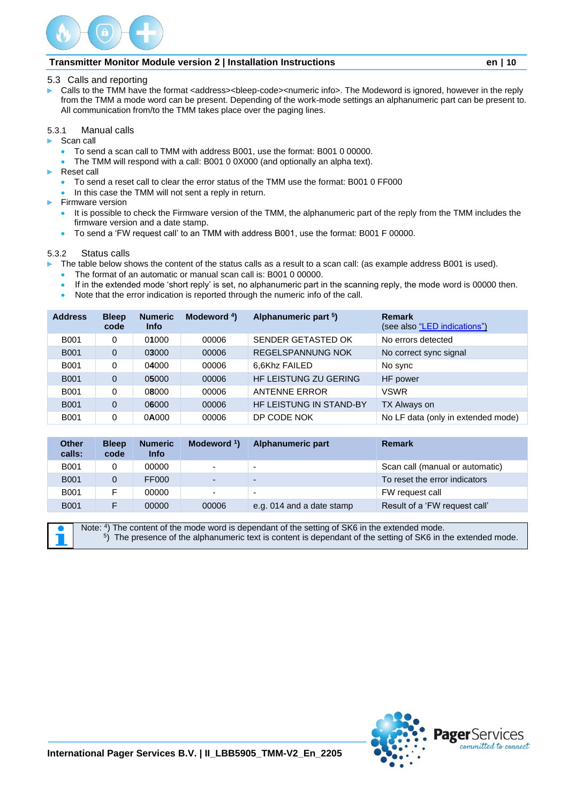

#### <span id="page-9-0"></span>5.3 Calls and reporting

Calls to the TMM have the format <address><bleep-code><numeric info>. The Modeword is ignored, however in the reply from the TMM a mode word can be present. Depending of the work-mode settings an alphanumeric part can be present to. All communication from/to the TMM takes place over the paging lines.

#### <span id="page-9-1"></span>5.3.1 Manual calls

- ► Scan call
	- To send a scan call to TMM with address B001, use the format: B001 0 00000.
	- The TMM will respond with a call: B001 0 0X000 (and optionally an alpha text).
- ► Reset call
	- To send a reset call to clear the error status of the TMM use the format: B001 0 FF000
	- In this case the TMM will not sent a reply in return.
- ► Firmware version
	- It is possible to check the Firmware version of the TMM, the alphanumeric part of the reply from the TMM includes the firmware version and a date stamp.
	- To send a 'FW request call' to an TMM with address B001, use the format: B001 F 00000.

#### <span id="page-9-2"></span>5.3.2 Status calls

- The table below shows the content of the status calls as a result to a scan call: (as example address B001 is used).
- The format of an automatic or manual scan call is: B001 0 00000.
- If in the extended mode 'short reply' is set, no alphanumeric part in the scanning reply, the mode word is 00000 then.
- Note that the error indication is reported through the numeric info of the call.

| <b>Address</b> | <b>Bleep</b><br>code | <b>Numeric</b><br><b>Info</b> | Modeword <sup>4</sup> ) | Alphanumeric part <sup>5</sup> ) | <b>Remark</b><br>(see also "LED indications") |
|----------------|----------------------|-------------------------------|-------------------------|----------------------------------|-----------------------------------------------|
| <b>B001</b>    | 0                    | 01000                         | 00006                   | SENDER GETASTED OK               | No errors detected                            |
| <b>B001</b>    | $\mathbf 0$          | 03000                         | 00006                   | REGELSPANNUNG NOK                | No correct sync signal                        |
| <b>B001</b>    | 0                    | 04000                         | 00006                   | 6,6Khz FAILED                    | No sync                                       |
| <b>B001</b>    | $\Omega$             | 05000                         | 00006                   | HF LEISTUNG ZU GERING            | HF power                                      |
| <b>B001</b>    | 0                    | 08000                         | 00006                   | <b>ANTENNE ERROR</b>             | <b>VSWR</b>                                   |
| <b>B001</b>    | $\Omega$             | 06000                         | 00006                   | <b>HF LEISTUNG IN STAND-BY</b>   | TX Always on                                  |
| <b>B001</b>    | 0                    | 0A000                         | 00006                   | DP CODE NOK                      | No LF data (only in extended mode)            |

| <b>Other</b><br>calls: | <b>Bleep</b><br>code | <b>Numeric</b><br><b>Info</b> | Modeword $\frac{1}{2}$   | Alphanumeric part         | <b>Remark</b>                   |
|------------------------|----------------------|-------------------------------|--------------------------|---------------------------|---------------------------------|
| <b>B001</b>            | 0                    | 00000                         | $\overline{\phantom{0}}$ |                           | Scan call (manual or automatic) |
| <b>B001</b>            | 0                    | FF000                         | $\blacksquare$           | $\overline{\phantom{0}}$  | To reset the error indicators   |
| <b>B001</b>            | F                    | 00000                         | $\sim$                   |                           | FW request call                 |
| <b>B001</b>            | F                    | 00000                         | 00006                    | e.g. 014 and a date stamp | Result of a 'FW request call'   |

Note: <sup>4</sup>) The content of the mode word is dependant of the setting of SK6 in the extended mode. 5 ) The presence of the alphanumeric text is content is dependant of the setting of SK6 in the extended mode.